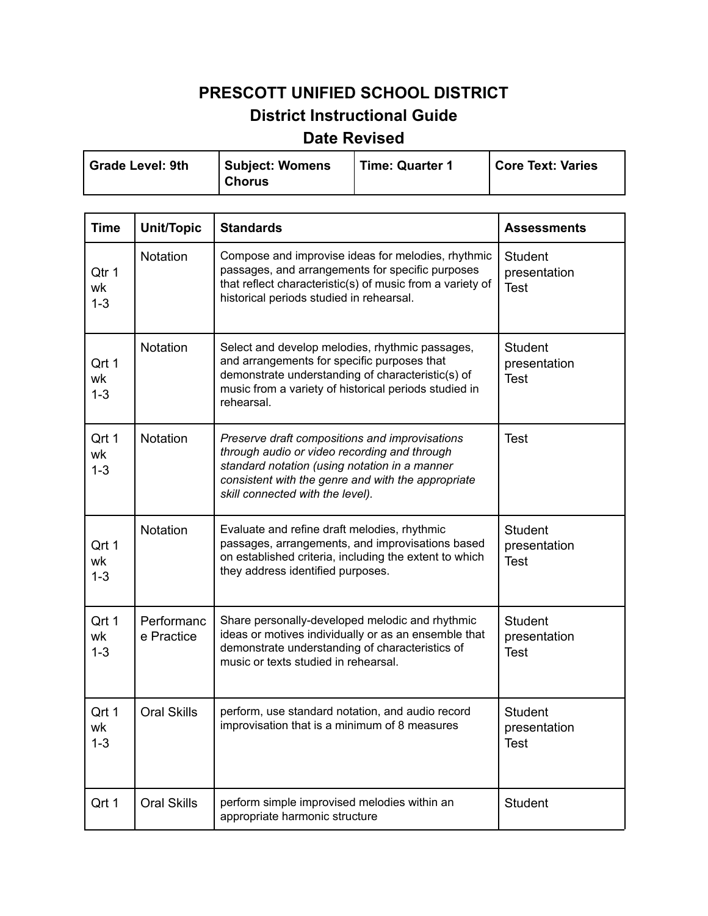## **PRESCOTT UNIFIED SCHOOL DISTRICT District Instructional Guide**

## **Date Revised**

| Grade Level: 9th | <b>Subject: Womens</b> | Time: Quarter 1 | <b>Core Text: Varies</b> |
|------------------|------------------------|-----------------|--------------------------|
|                  | <b>Chorus</b>          |                 |                          |

| <b>Time</b>            | <b>Unit/Topic</b>        | <b>Standards</b>                                                                                                                                                                                                                          | <b>Assessments</b>                            |
|------------------------|--------------------------|-------------------------------------------------------------------------------------------------------------------------------------------------------------------------------------------------------------------------------------------|-----------------------------------------------|
| Qtr 1<br>wk<br>$1 - 3$ | Notation                 | Compose and improvise ideas for melodies, rhythmic<br>passages, and arrangements for specific purposes<br>that reflect characteristic(s) of music from a variety of<br>historical periods studied in rehearsal.                           | <b>Student</b><br>presentation<br><b>Test</b> |
| Qrt 1<br>wk<br>$1 - 3$ | Notation                 | Select and develop melodies, rhythmic passages,<br>and arrangements for specific purposes that<br>demonstrate understanding of characteristic(s) of<br>music from a variety of historical periods studied in<br>rehearsal.                | <b>Student</b><br>presentation<br><b>Test</b> |
| Qrt 1<br>wk<br>$1 - 3$ | Notation                 | Preserve draft compositions and improvisations<br>through audio or video recording and through<br>standard notation (using notation in a manner<br>consistent with the genre and with the appropriate<br>skill connected with the level). | <b>Test</b>                                   |
| Qrt 1<br>wk<br>$1 - 3$ | Notation                 | Evaluate and refine draft melodies, rhythmic<br>passages, arrangements, and improvisations based<br>on established criteria, including the extent to which<br>they address identified purposes.                                           | <b>Student</b><br>presentation<br><b>Test</b> |
| Qrt 1<br>wk<br>$1 - 3$ | Performanc<br>e Practice | Share personally-developed melodic and rhythmic<br>ideas or motives individually or as an ensemble that<br>demonstrate understanding of characteristics of<br>music or texts studied in rehearsal.                                        | <b>Student</b><br>presentation<br><b>Test</b> |
| Qrt 1<br>wk<br>$1 - 3$ | <b>Oral Skills</b>       | perform, use standard notation, and audio record<br>improvisation that is a minimum of 8 measures                                                                                                                                         | <b>Student</b><br>presentation<br><b>Test</b> |
| Qrt 1                  | <b>Oral Skills</b>       | perform simple improvised melodies within an<br>appropriate harmonic structure                                                                                                                                                            | <b>Student</b>                                |